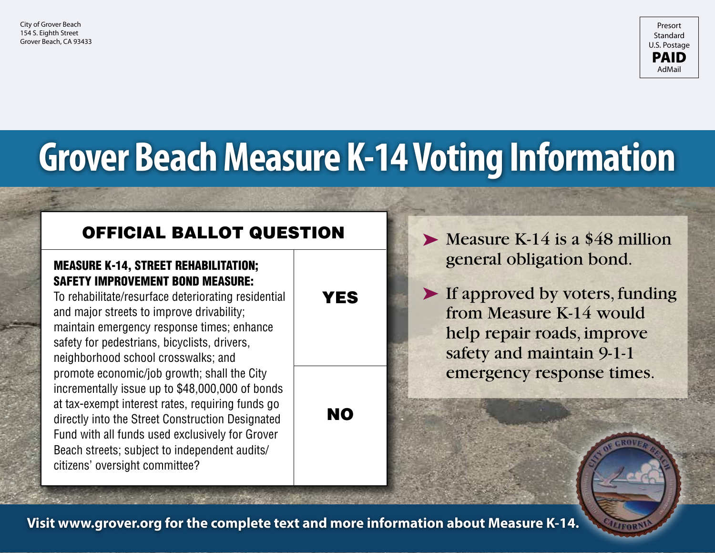

## **Grover Beach Measure K-14 Voting Information**

### Official Ballot Question

#### MEASURE K-14, STREET REHABILITATION; SAFETY IMPROVEMENT BOND MEASURE:

To rehabilitate/resurface deteriorating residential and major streets to improve drivability; maintain emergency response times; enhance safety for pedestrians, bicyclists, drivers, neighborhood school crosswalks; and promote economic/job growth; shall the City incrementally issue up to \$48,000,000 of bonds at tax-exempt interest rates, requiring funds go directly into the Street Construction Designated Fund with all funds used exclusively for Grover Beach streets; subject to independent audits/ citizens' oversight committee?

#### **YES**

NO

 $\blacktriangleright$  Measure K-14 is a \$48 million general obligation bond.

▶ If approved by voters, funding from Measure K-14 would help repair roads, improve safety and maintain 9-1-1 emergency response times.

**Visit www.grover.org for the complete text and more information about Measure K-14.**